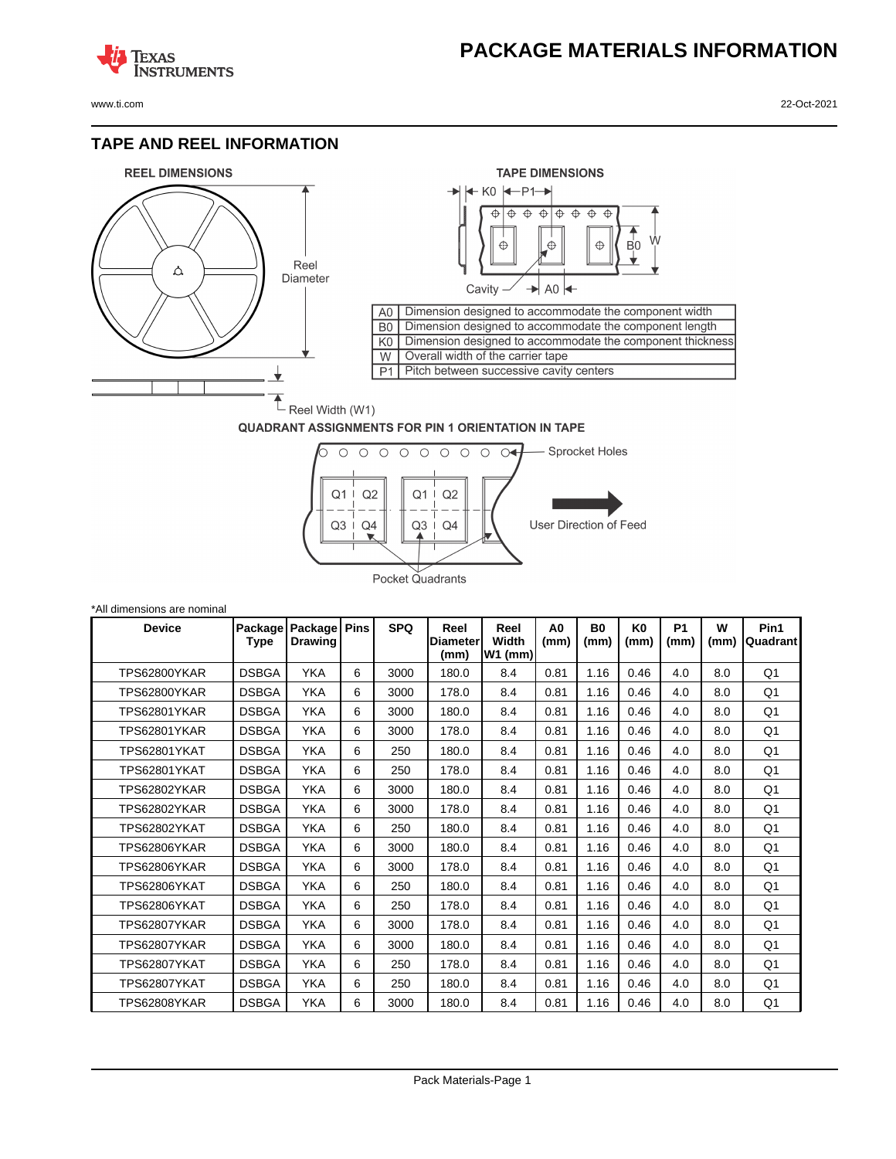## **PACKAGE MATERIALS INFORMATION**

**TEXAS NSTRUMENTS** 

## **TAPE AND REEL INFORMATION**





## **QUADRANT ASSIGNMENTS FOR PIN 1 ORIENTATION IN TAPE**



| *All dimensions are nominal |                 |                           |             |            |                                 |                          |                        |                   |                        |                   |           |                  |
|-----------------------------|-----------------|---------------------------|-------------|------------|---------------------------------|--------------------------|------------------------|-------------------|------------------------|-------------------|-----------|------------------|
| <b>Device</b>               | Package<br>Type | Package<br><b>Drawing</b> | <b>Pins</b> | <b>SPQ</b> | Reel<br><b>Diameter</b><br>(mm) | Reel<br>Width<br>W1 (mm) | A <sub>0</sub><br>(mm) | <b>B0</b><br>(mm) | K <sub>0</sub><br>(mm) | <b>P1</b><br>(mm) | W<br>(mm) | Pin1<br>Quadrant |
| TPS62800YKAR                | <b>DSBGA</b>    | <b>YKA</b>                | 6           | 3000       | 180.0                           | 8.4                      | 0.81                   | 1.16              | 0.46                   | 4.0               | 8.0       | Q <sub>1</sub>   |
| TPS62800YKAR                | <b>DSBGA</b>    | YKA                       | 6           | 3000       | 178.0                           | 8.4                      | 0.81                   | 1.16              | 0.46                   | 4.0               | 8.0       | Q1               |
| <b>TPS62801YKAR</b>         | <b>DSBGA</b>    | <b>YKA</b>                | 6           | 3000       | 180.0                           | 8.4                      | 0.81                   | 1.16              | 0.46                   | 4.0               | 8.0       | Q1               |
| <b>TPS62801YKAR</b>         | <b>DSBGA</b>    | <b>YKA</b>                | 6           | 3000       | 178.0                           | 8.4                      | 0.81                   | 1.16              | 0.46                   | 4.0               | 8.0       | Q1               |
| TPS62801YKAT                | <b>DSBGA</b>    | <b>YKA</b>                | 6           | 250        | 180.0                           | 8.4                      | 0.81                   | 1.16              | 0.46                   | 4.0               | 8.0       | Q <sub>1</sub>   |
| <b>TPS62801YKAT</b>         | <b>DSBGA</b>    | <b>YKA</b>                | 6           | 250        | 178.0                           | 8.4                      | 0.81                   | 1.16              | 0.46                   | 4.0               | 8.0       | Q1               |
| TPS62802YKAR                | <b>DSBGA</b>    | <b>YKA</b>                | 6           | 3000       | 180.0                           | 8.4                      | 0.81                   | 1.16              | 0.46                   | 4.0               | 8.0       | Q1               |
| <b>TPS62802YKAR</b>         | <b>DSBGA</b>    | <b>YKA</b>                | 6           | 3000       | 178.0                           | 8.4                      | 0.81                   | 1.16              | 0.46                   | 4.0               | 8.0       | Q <sub>1</sub>   |
| TPS62802YKAT                | <b>DSBGA</b>    | <b>YKA</b>                | 6           | 250        | 180.0                           | 8.4                      | 0.81                   | 1.16              | 0.46                   | 4.0               | 8.0       | Q1               |
| TPS62806YKAR                | <b>DSBGA</b>    | YKA                       | 6           | 3000       | 180.0                           | 8.4                      | 0.81                   | 1.16              | 0.46                   | 4.0               | 8.0       | Q <sub>1</sub>   |
| TPS62806YKAR                | <b>DSBGA</b>    | <b>YKA</b>                | 6           | 3000       | 178.0                           | 8.4                      | 0.81                   | 1.16              | 0.46                   | 4.0               | 8.0       | Q1               |
| <b>TPS62806YKAT</b>         | <b>DSBGA</b>    | <b>YKA</b>                | 6           | 250        | 180.0                           | 8.4                      | 0.81                   | 1.16              | 0.46                   | 4.0               | 8.0       | Q <sub>1</sub>   |
| <b>TPS62806YKAT</b>         | <b>DSBGA</b>    | <b>YKA</b>                | 6           | 250        | 178.0                           | 8.4                      | 0.81                   | 1.16              | 0.46                   | 4.0               | 8.0       | Q <sub>1</sub>   |
| TPS62807YKAR                | <b>DSBGA</b>    | <b>YKA</b>                | 6           | 3000       | 178.0                           | 8.4                      | 0.81                   | 1.16              | 0.46                   | 4.0               | 8.0       | Q1               |
| TPS62807YKAR                | <b>DSBGA</b>    | <b>YKA</b>                | 6           | 3000       | 180.0                           | 8.4                      | 0.81                   | 1.16              | 0.46                   | 4.0               | 8.0       | Q <sub>1</sub>   |
| TPS62807YKAT                | <b>DSBGA</b>    | <b>YKA</b>                | 6           | 250        | 178.0                           | 8.4                      | 0.81                   | 1.16              | 0.46                   | 4.0               | 8.0       | Q1               |
| TPS62807YKAT                | <b>DSBGA</b>    | <b>YKA</b>                | 6           | 250        | 180.0                           | 8.4                      | 0.81                   | 1.16              | 0.46                   | 4.0               | 8.0       | Q <sub>1</sub>   |
| TPS62808YKAR                | <b>DSBGA</b>    | <b>YKA</b>                | 6           | 3000       | 180.0                           | 8.4                      | 0.81                   | 1.16              | 0.46                   | 4.0               | 8.0       | Q1               |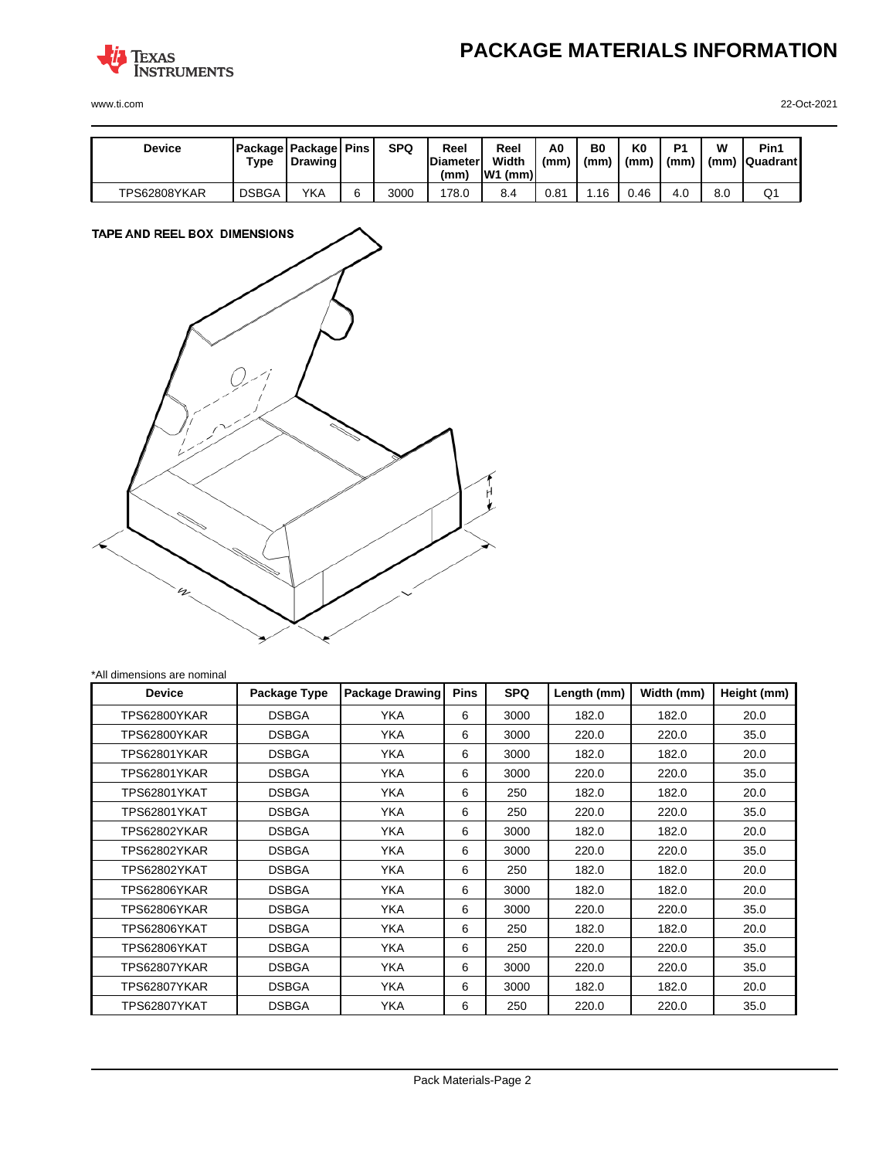

**PACKAGE MATERIALS INFORMATION**

www.ti.com 22-Oct-2021

| <b>Device</b> | Type         | <b>Package Package Pins</b><br>Drawing | <b>SPQ</b> | Reel<br><b>Diameter</b><br>(mm) | Reel<br>Width<br>IW1<br>(mm) | A0<br>(mm | B0<br>(mm) | K0<br>(mm) | D <sub>1</sub><br>(mm) | W<br>(mm) | Pin1<br><b>Quadrant</b> |
|---------------|--------------|----------------------------------------|------------|---------------------------------|------------------------------|-----------|------------|------------|------------------------|-----------|-------------------------|
| TPS62808YKAR  | <b>DSBGA</b> | YKA                                    | 3000       | 178.0                           | 8.4                          | 0.81      | . 16       | 0.46       | 4.0                    | 8.0       | Q1                      |



| *All dimensions are nominal |  |  |  |  |
|-----------------------------|--|--|--|--|
|-----------------------------|--|--|--|--|

| <b>Device</b> | Package Type | <b>Package Drawing</b> | <b>Pins</b> | <b>SPQ</b> | Length (mm) | Width (mm) | Height (mm) |
|---------------|--------------|------------------------|-------------|------------|-------------|------------|-------------|
| TPS62800YKAR  | <b>DSBGA</b> | <b>YKA</b>             | 6           | 3000       | 182.0       | 182.0      | 20.0        |
| TPS62800YKAR  | <b>DSBGA</b> | <b>YKA</b>             | 6           | 3000       | 220.0       | 220.0      | 35.0        |
| TPS62801YKAR  | <b>DSBGA</b> | <b>YKA</b>             | 6           | 3000       | 182.0       | 182.0      | 20.0        |
| TPS62801YKAR  | <b>DSBGA</b> | YKA                    | 6           | 3000       | 220.0       | 220.0      | 35.0        |
| TPS62801YKAT  | <b>DSBGA</b> | YKA.                   | 6           | 250        | 182.0       | 182.0      | 20.0        |
| TPS62801YKAT  | <b>DSBGA</b> | YKA.                   | 6           | 250        | 220.0       | 220.0      | 35.0        |
| TPS62802YKAR  | <b>DSBGA</b> | YKA                    | 6           | 3000       | 182.0       | 182.0      | 20.0        |
| TPS62802YKAR  | <b>DSBGA</b> | <b>YKA</b>             | 6           | 3000       | 220.0       | 220.0      | 35.0        |
| TPS62802YKAT  | <b>DSBGA</b> | <b>YKA</b>             | 6           | 250        | 182.0       | 182.0      | 20.0        |
| TPS62806YKAR  | <b>DSBGA</b> | YKA.                   | 6           | 3000       | 182.0       | 182.0      | 20.0        |
| TPS62806YKAR  | <b>DSBGA</b> | YKA.                   | 6           | 3000       | 220.0       | 220.0      | 35.0        |
| TPS62806YKAT  | <b>DSBGA</b> | YKA                    | 6           | 250        | 182.0       | 182.0      | 20.0        |
| TPS62806YKAT  | <b>DSBGA</b> | <b>YKA</b>             | 6           | 250        | 220.0       | 220.0      | 35.0        |
| TPS62807YKAR  | <b>DSBGA</b> | <b>YKA</b>             | 6           | 3000       | 220.0       | 220.0      | 35.0        |
| TPS62807YKAR  | <b>DSBGA</b> | YKA                    | 6           | 3000       | 182.0       | 182.0      | 20.0        |
| TPS62807YKAT  | <b>DSBGA</b> | <b>YKA</b>             | 6           | 250        | 220.0       | 220.0      | 35.0        |